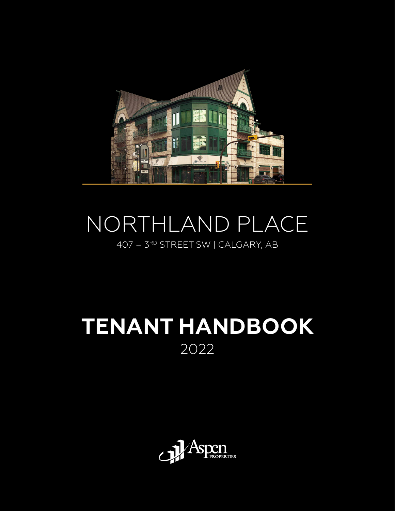

# NORTHLAND PLACE 407 – 3RD STREET SW | CALGARY, AB

# **TENANT HANDBOOK** 2022

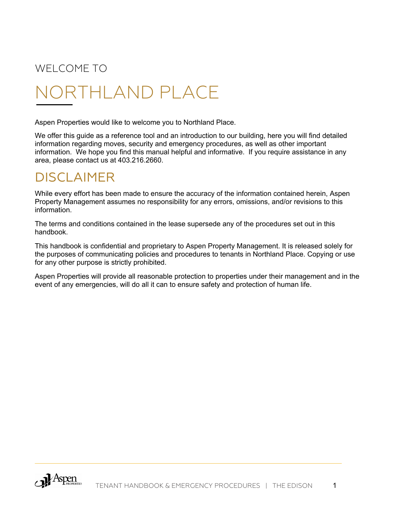# WELCOME TO

# NORTHLAND PLACE

Aspen Properties would like to welcome you to Northland Place.

We offer this guide as a reference tool and an introduction to our building, here you will find detailed information regarding moves, security and emergency procedures, as well as other important information. We hope you find this manual helpful and informative. If you require assistance in any area, please contact us at 403.216.2660.

# DISCLAIMER

While every effort has been made to ensure the accuracy of the information contained herein, Aspen Property Management assumes no responsibility for any errors, omissions, and/or revisions to this information.

The terms and conditions contained in the lease supersede any of the procedures set out in this handbook.

This handbook is confidential and proprietary to Aspen Property Management. It is released solely for the purposes of communicating policies and procedures to tenants in Northland Place. Copying or use for any other purpose is strictly prohibited.

Aspen Properties will provide all reasonable protection to properties under their management and in the event of any emergencies, will do all it can to ensure safety and protection of human life.

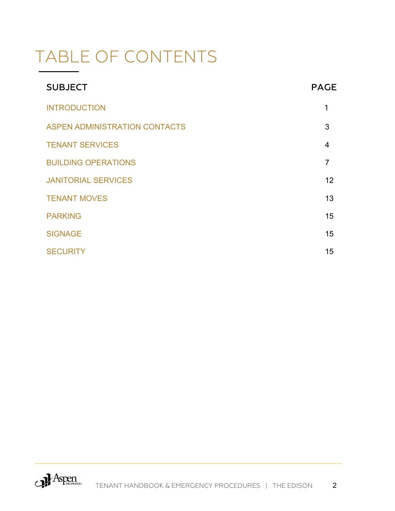# TABLE OF CONTENTS

| <b>SUBJECT</b>                       | <b>PAGE</b> |
|--------------------------------------|-------------|
| <b>INTRODUCTION</b>                  | 1           |
| <b>ASPEN ADMINISTRATION CONTACTS</b> | 3           |
| <b>TENANT SERVICES</b>               | 4           |
| <b>BUILDING OPERATIONS</b>           | 7           |
| <b>JANITORIAL SERVICES</b>           | 12          |
| <b>TENANT MOVES</b>                  | 13          |
| <b>PARKING</b>                       | 15          |
| <b>SIGNAGE</b>                       | 15          |
| <b>SECURITY</b>                      | 15          |

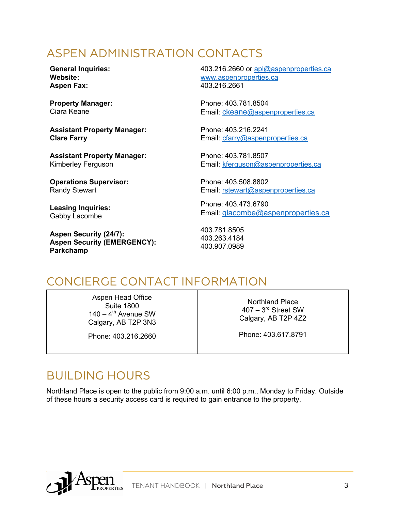# ASPEN ADMINISTRATION CONTACTS

**General Inquiries: Website: Aspen Fax:**

**Property Manager:** Ciara Keane

**Assistant Property Manager: Clare Farry**

**Assistant Property Manager:** Kimberley Ferguson

**Operations Supervisor:** Randy Stewart

**Leasing Inquiries:** Gabby Lacombe

**Aspen Security (24/7): Aspen Security (EMERGENCY): Parkchamp**

403.216.2660 or apl@aspenproperties.ca www.aspenproperties.ca 403.216.2661

Phone: 403.781.8504 Email: ckeane@aspenproperties.ca

Phone: 403.216.2241 Email: cfarry@aspenproperties.ca

Phone: 403.781.8507 Email: kferguson@aspenproperties.ca

Phone: 403.508.8802 Email: rstewart@aspenproperties.ca

Phone: 403.473.6790 Email: glacombe@aspenproperties.ca

403.781.8505 403.263.4184 403.907.0989

# CONCIERGE CONTACT INFORMATION

Aspen Head Office Suite 1800  $140 - 4$ <sup>th</sup> Avenue SW Calgary, AB T2P 3N3

Phone: 403.216.2660

Northland Place 407 – 3rd Street SW Calgary, AB T2P 4Z2

Phone: 403.617.8791

# BUILDING HOURS

Northland Place is open to the public from 9:00 a.m. until 6:00 p.m., Monday to Friday. Outside of these hours a security access card is required to gain entrance to the property.

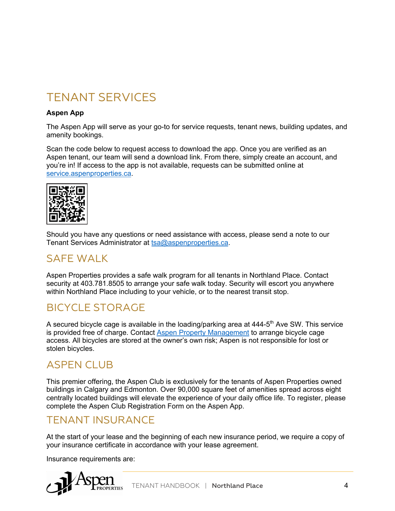# TENANT SERVICES

#### **Aspen App**

The Aspen App will serve as your go-to for service requests, tenant news, building updates, and amenity bookings.

Scan the code below to request access to download the app. Once you are verified as an Aspen tenant, our team will send a download link. From there, simply create an account, and you're in! If access to the app is not available, requests can be submitted online at service.aspenproperties.ca.



Should you have any questions or need assistance with access, please send a note to our Tenant Services Administrator at tsa@aspenproperties.ca.

#### SAFE WALK

Aspen Properties provides a safe walk program for all tenants in Northland Place. Contact security at 403.781.8505 to arrange your safe walk today. Security will escort you anywhere within Northland Place including to your vehicle, or to the nearest transit stop.

#### BICYCLE STORAGE

A secured bicycle cage is available in the loading/parking area at 444-5<sup>th</sup> Ave SW. This service is provided free of charge. Contact Aspen Property Management to arrange bicycle cage access. All bicycles are stored at the owner's own risk; Aspen is not responsible for lost or stolen bicycles.

#### ASPEN CLUB

This premier offering, the Aspen Club is exclusively for the tenants of Aspen Properties owned buildings in Calgary and Edmonton. Over 90,000 square feet of amenities spread across eight centrally located buildings will elevate the experience of your daily office life. To register, please complete the Aspen Club Registration Form on the Aspen App.

#### TENANT INSURANCE

At the start of your lease and the beginning of each new insurance period, we require a copy of your insurance certificate in accordance with your lease agreement.

Insurance requirements are:

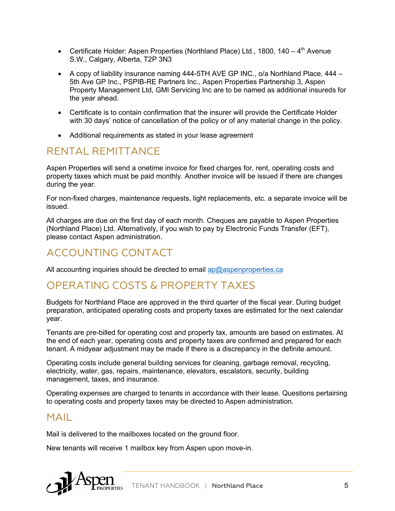- Certificate Holder: Aspen Properties (Northland Place) Ltd., 1800, 140  $4<sup>th</sup>$  Avenue S.W., Calgary, Alberta, T2P 3N3
- A copy of liability insurance naming  $444-5TH$  AVE GP INC., o/a Northland Place,  $444-$ 5th Ave GP Inc., PSPIB-RE Partners Inc., Aspen Properties Partnership 3, Aspen Property Management Ltd, GMI Servicing Inc are to be named as additional insureds for the year ahead.
- Certificate is to contain confirmation that the insurer will provide the Certificate Holder with 30 days' notice of cancellation of the policy or of any material change in the policy.
- Additional requirements as stated in your lease agreement

#### RENTAL REMITTANCE

Aspen Properties will send a onetime invoice for fixed charges for, rent, operating costs and property taxes which must be paid monthly. Another invoice will be issued if there are changes during the year.

For non-fixed charges, maintenance requests, light replacements, etc. a separate invoice will be issued.

All charges are due on the first day of each month. Cheques are payable to Aspen Properties (Northland Place) Ltd. Alternatively, if you wish to pay by Electronic Funds Transfer (EFT), please contact Aspen administration.

#### ACCOUNTING CONTACT

All accounting inquiries should be directed to email ap@aspenproperties.ca

#### OPERATING COSTS & PROPERTY TAXES

Budgets for Northland Place are approved in the third quarter of the fiscal year. During budget preparation, anticipated operating costs and property taxes are estimated for the next calendar year.

Tenants are pre-billed for operating cost and property tax, amounts are based on estimates. At the end of each year, operating costs and property taxes are confirmed and prepared for each tenant. A midyear adjustment may be made if there is a discrepancy in the definite amount.

Operating costs include general building services for cleaning, garbage removal, recycling, electricity, water, gas, repairs, maintenance, elevators, escalators, security, building management, taxes, and insurance.

Operating expenses are charged to tenants in accordance with their lease. Questions pertaining to operating costs and property taxes may be directed to Aspen administration.

#### MAIL

Mail is delivered to the mailboxes located on the ground floor.

New tenants will receive 1 mailbox key from Aspen upon move-in.

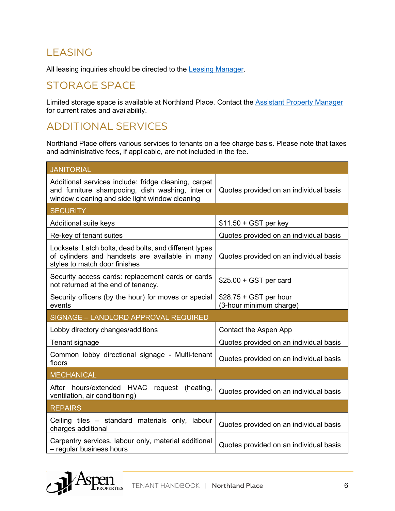## LEASING

All leasing inquiries should be directed to the Leasing Manager.

#### STORAGE SPACE

Limited storage space is available at Northland Place. Contact the **Assistant Property Manager** for current rates and availability.

#### ADDITIONAL SERVICES

Northland Place offers various services to tenants on a fee charge basis. Please note that taxes and administrative fees, if applicable, are not included in the fee.

| <b>JANITORIAL</b>                                                                                                                                          |                                                    |  |  |
|------------------------------------------------------------------------------------------------------------------------------------------------------------|----------------------------------------------------|--|--|
| Additional services include: fridge cleaning, carpet<br>and furniture shampooing, dish washing, interior<br>window cleaning and side light window cleaning | Quotes provided on an individual basis             |  |  |
| <b>SECURITY</b>                                                                                                                                            |                                                    |  |  |
| Additional suite keys                                                                                                                                      | $$11.50 + GST$ per key                             |  |  |
| Re-key of tenant suites                                                                                                                                    | Quotes provided on an individual basis             |  |  |
| Locksets: Latch bolts, dead bolts, and different types<br>of cylinders and handsets are available in many<br>styles to match door finishes                 | Quotes provided on an individual basis             |  |  |
| Security access cards: replacement cards or cards<br>not returned at the end of tenancy.                                                                   | $$25.00 + GST$ per card                            |  |  |
| Security officers (by the hour) for moves or special<br>events                                                                                             | $$28.75 + GST$ per hour<br>(3-hour minimum charge) |  |  |
| SIGNAGE - LANDLORD APPROVAL REQUIRED                                                                                                                       |                                                    |  |  |
|                                                                                                                                                            |                                                    |  |  |
| Lobby directory changes/additions                                                                                                                          | Contact the Aspen App                              |  |  |
| Tenant signage                                                                                                                                             | Quotes provided on an individual basis             |  |  |
| Common lobby directional signage - Multi-tenant<br>floors                                                                                                  | Quotes provided on an individual basis             |  |  |
| <b>MECHANICAL</b>                                                                                                                                          |                                                    |  |  |
| After hours/extended HVAC<br>request<br>(heating,<br>ventilation, air conditioning)                                                                        | Quotes provided on an individual basis             |  |  |
| <b>REPAIRS</b>                                                                                                                                             |                                                    |  |  |
| Ceiling tiles – standard materials only, labour<br>charges additional                                                                                      | Quotes provided on an individual basis             |  |  |

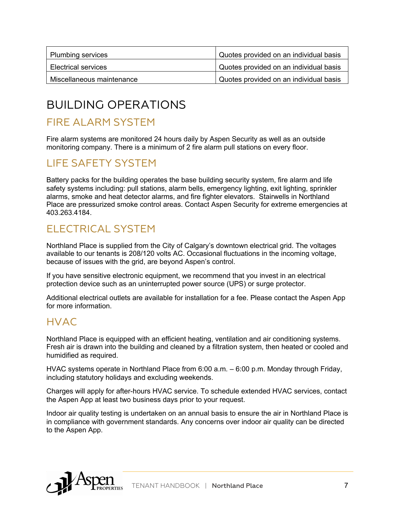| Plumbing services          | Quotes provided on an individual basis |
|----------------------------|----------------------------------------|
| <b>Electrical services</b> | Quotes provided on an individual basis |
| Miscellaneous maintenance  | Quotes provided on an individual basis |

# BUILDING OPERATIONS

#### FIRE ALARM SYSTEM

Fire alarm systems are monitored 24 hours daily by Aspen Security as well as an outside monitoring company. There is a minimum of 2 fire alarm pull stations on every floor.

#### LIFE SAFETY SYSTEM

Battery packs for the building operates the base building security system, fire alarm and life safety systems including: pull stations, alarm bells, emergency lighting, exit lighting, sprinkler alarms, smoke and heat detector alarms, and fire fighter elevators. Stairwells in Northland Place are pressurized smoke control areas. Contact Aspen Security for extreme emergencies at 403.263.4184.

#### ELECTRICAL SYSTEM

Northland Place is supplied from the City of Calgary's downtown electrical grid. The voltages available to our tenants is 208/120 volts AC. Occasional fluctuations in the incoming voltage, because of issues with the grid, are beyond Aspen's control.

If you have sensitive electronic equipment, we recommend that you invest in an electrical protection device such as an uninterrupted power source (UPS) or surge protector.

Additional electrical outlets are available for installation for a fee. Please contact the Aspen App for more information.

#### HVAC

Northland Place is equipped with an efficient heating, ventilation and air conditioning systems. Fresh air is drawn into the building and cleaned by a filtration system, then heated or cooled and humidified as required.

HVAC systems operate in Northland Place from 6:00 a.m. – 6:00 p.m. Monday through Friday, including statutory holidays and excluding weekends.

Charges will apply for after-hours HVAC service. To schedule extended HVAC services, contact the Aspen App at least two business days prior to your request.

Indoor air quality testing is undertaken on an annual basis to ensure the air in Northland Place is in compliance with government standards. Any concerns over indoor air quality can be directed to the Aspen App.

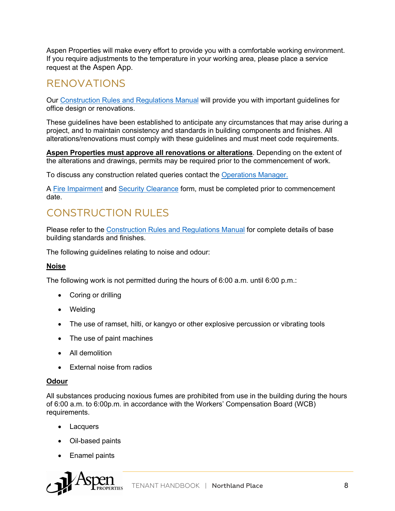Aspen Properties will make every effort to provide you with a comfortable working environment. If you require adjustments to the temperature in your working area, please place a service request at the Aspen App.

#### RENOVATIONS

Our Construction Rules and Regulations Manual will provide you with important guidelines for office design or renovations.

These guidelines have been established to anticipate any circumstances that may arise during a project, and to maintain consistency and standards in building components and finishes. All alterations/renovations must comply with these guidelines and must meet code requirements.

**Aspen Properties must approve all renovations or alterations**. Depending on the extent of the alterations and drawings, permits may be required prior to the commencement of work.

To discuss any construction related queries contact the Operations Manager.

A Fire Impairment and Security Clearance form, must be completed prior to commencement date.

#### CONSTRUCTION RULES

Please refer to the Construction Rules and Regulations Manual for complete details of base building standards and finishes.

The following guidelines relating to noise and odour:

#### **Noise**

The following work is not permitted during the hours of 6:00 a.m. until 6:00 p.m.:

- Coring or drilling
- Welding
- The use of ramset, hilti, or kangyo or other explosive percussion or vibrating tools
- The use of paint machines
- All demolition
- External noise from radios

#### **Odour**

All substances producing noxious fumes are prohibited from use in the building during the hours of 6:00 a.m. to 6:00p.m. in accordance with the Workers' Compensation Board (WCB) requirements.

- Lacquers
- Oil-based paints
- Enamel paints

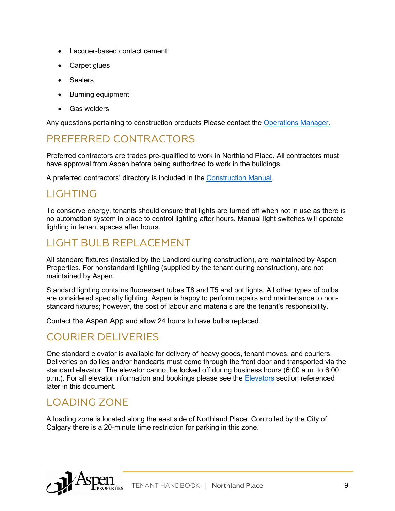- Lacquer-based contact cement
- Carpet glues
- Sealers
- Burning equipment
- Gas welders

Any questions pertaining to construction products Please contact the Operations Manager.

#### PREFERRED CONTRACTORS

Preferred contractors are trades pre-qualified to work in Northland Place. All contractors must have approval from Aspen before being authorized to work in the buildings.

A preferred contractors' directory is included in the Construction Manual.

#### LIGHTING

To conserve energy, tenants should ensure that lights are turned off when not in use as there is no automation system in place to control lighting after hours. Manual light switches will operate lighting in tenant spaces after hours.

#### LIGHT BULB REPLACEMENT

All standard fixtures (installed by the Landlord during construction), are maintained by Aspen Properties. For nonstandard lighting (supplied by the tenant during construction), are not maintained by Aspen.

Standard lighting contains fluorescent tubes T8 and T5 and pot lights. All other types of bulbs are considered specialty lighting. Aspen is happy to perform repairs and maintenance to nonstandard fixtures; however, the cost of labour and materials are the tenant's responsibility.

Contact the Aspen App and allow 24 hours to have bulbs replaced.

#### COURIER DELIVERIES

One standard elevator is available for delivery of heavy goods, tenant moves, and couriers. Deliveries on dollies and/or handcarts must come through the front door and transported via the standard elevator. The elevator cannot be locked off during business hours (6:00 a.m. to 6:00 p.m.). For all elevator information and bookings please see the Elevators section referenced later in this document.

#### LOADING ZONE

A loading zone is located along the east side of Northland Place. Controlled by the City of Calgary there is a 20-minute time restriction for parking in this zone.

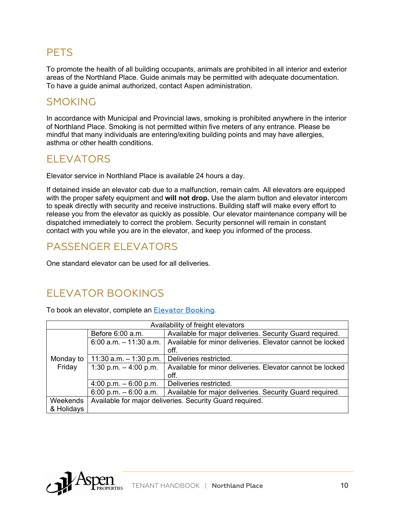#### **PETS**

To promote the health of all building occupants, animals are prohibited in all interior and exterior areas of the Northland Place. Guide animals may be permitted with adequate documentation. To have a guide animal authorized, contact Aspen administration.

#### SMOKING

In accordance with Municipal and Provincial laws, smoking is prohibited anywhere in the interior of Northland Place. Smoking is not permitted within five meters of any entrance. Please be mindful that many individuals are entering/exiting building points and may have allergies, asthma or other health conditions.

#### ELEVATORS

Elevator service in Northland Place is available 24 hours a day.

If detained inside an elevator cab due to a malfunction, remain calm. All elevators are equipped with the proper safety equipment and **will not drop.** Use the alarm button and elevator intercom to speak directly with security and receive instructions. Building staff will make every effort to release you from the elevator as quickly as possible. Our elevator maintenance company will be dispatched immediately to correct the problem. Security personnel will remain in constant contact with you while you are in the elevator, and keep you informed of the process.

#### PASSENGER ELEVATORS

One standard elevator can be used for all deliveries.

#### ELEVATOR BOOKINGS

To book an elevator, complete an Elevator Booking.

| Availability of freight elevators |                                                          |                                                           |  |
|-----------------------------------|----------------------------------------------------------|-----------------------------------------------------------|--|
|                                   | Before 6:00 a.m.                                         | Available for major deliveries. Security Guard required.  |  |
|                                   | $6:00$ a.m. $-11:30$ a.m.                                | Available for minor deliveries. Elevator cannot be locked |  |
|                                   |                                                          | off.                                                      |  |
| Monday to                         | 11:30 $a.m. - 1:30$ p.m.                                 | Deliveries restricted.                                    |  |
| Friday                            | 1:30 p.m. $-4:00$ p.m.                                   | Available for minor deliveries. Elevator cannot be locked |  |
|                                   |                                                          | off.                                                      |  |
|                                   | 4:00 p.m. $-6:00$ p.m.                                   | Deliveries restricted.                                    |  |
|                                   | 6:00 p.m. $-6:00$ a.m.                                   | Available for major deliveries. Security Guard required.  |  |
| Weekends                          | Available for major deliveries. Security Guard required. |                                                           |  |
| & Holidays                        |                                                          |                                                           |  |

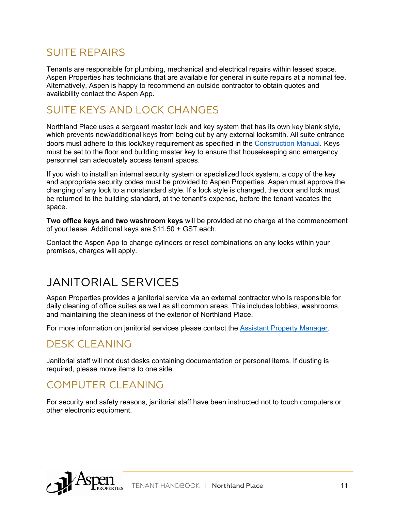#### SUITE REPAIRS

Tenants are responsible for plumbing, mechanical and electrical repairs within leased space. Aspen Properties has technicians that are available for general in suite repairs at a nominal fee. Alternatively, Aspen is happy to recommend an outside contractor to obtain quotes and availability contact the Aspen App.

# SUITE KEYS AND LOCK CHANGES

Northland Place uses a sergeant master lock and key system that has its own key blank style, which prevents new/additional keys from being cut by any external locksmith. All suite entrance doors must adhere to this lock/key requirement as specified in the Construction Manual. Keys must be set to the floor and building master key to ensure that housekeeping and emergency personnel can adequately access tenant spaces.

If you wish to install an internal security system or specialized lock system, a copy of the key and appropriate security codes must be provided to Aspen Properties. Aspen must approve the changing of any lock to a nonstandard style. If a lock style is changed, the door and lock must be returned to the building standard, at the tenant's expense, before the tenant vacates the space.

**Two office keys and two washroom keys** will be provided at no charge at the commencement of your lease. Additional keys are \$11.50 + GST each.

Contact the Aspen App to change cylinders or reset combinations on any locks within your premises, charges will apply.

# JANITORIAL SERVICES

Aspen Properties provides a janitorial service via an external contractor who is responsible for daily cleaning of office suites as well as all common areas. This includes lobbies, washrooms, and maintaining the cleanliness of the exterior of Northland Place.

For more information on janitorial services please contact the Assistant Property Manager.

#### DESK CLEANING

Janitorial staff will not dust desks containing documentation or personal items. If dusting is required, please move items to one side.

#### COMPUTER CLEANING

For security and safety reasons, janitorial staff have been instructed not to touch computers or other electronic equipment.

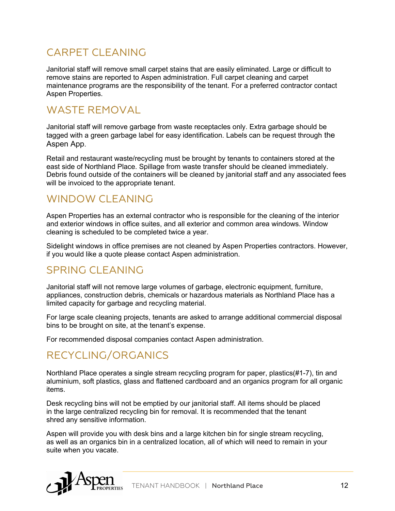# CARPET CLEANING

Janitorial staff will remove small carpet stains that are easily eliminated. Large or difficult to remove stains are reported to Aspen administration. Full carpet cleaning and carpet maintenance programs are the responsibility of the tenant. For a preferred contractor contact Aspen Properties.

## WASTE REMOVAL

Janitorial staff will remove garbage from waste receptacles only. Extra garbage should be tagged with a green garbage label for easy identification. Labels can be request through the Aspen App.

Retail and restaurant waste/recycling must be brought by tenants to containers stored at the east side of Northland Place. Spillage from waste transfer should be cleaned immediately. Debris found outside of the containers will be cleaned by janitorial staff and any associated fees will be invoiced to the appropriate tenant.

#### WINDOW CLEANING

Aspen Properties has an external contractor who is responsible for the cleaning of the interior and exterior windows in office suites, and all exterior and common area windows. Window cleaning is scheduled to be completed twice a year.

Sidelight windows in office premises are not cleaned by Aspen Properties contractors. However, if you would like a quote please contact Aspen administration.

## SPRING CLEANING

Janitorial staff will not remove large volumes of garbage, electronic equipment, furniture, appliances, construction debris, chemicals or hazardous materials as Northland Place has a limited capacity for garbage and recycling material.

For large scale cleaning projects, tenants are asked to arrange additional commercial disposal bins to be brought on site, at the tenant's expense.

For recommended disposal companies contact Aspen administration.

## RECYCLING/ORGANICS

Northland Place operates a single stream recycling program for paper, plastics(#1-7), tin and aluminium, soft plastics, glass and flattened cardboard and an organics program for all organic items.

Desk recycling bins will not be emptied by our janitorial staff. All items should be placed in the large centralized recycling bin for removal. It is recommended that the tenant shred any sensitive information.

Aspen will provide you with desk bins and a large kitchen bin for single stream recycling, as well as an organics bin in a centralized location, all of which will need to remain in your suite when you vacate.

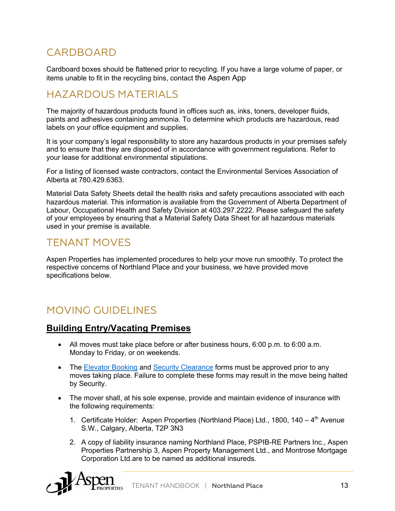## **CARDBOARD**

Cardboard boxes should be flattened prior to recycling. If you have a large volume of paper, or items unable to fit in the recycling bins, contact the Aspen App

#### HAZARDOUS MATERIALS

The majority of hazardous products found in offices such as, inks, toners, developer fluids, paints and adhesives containing ammonia. To determine which products are hazardous, read labels on your office equipment and supplies.

It is your company's legal responsibility to store any hazardous products in your premises safely and to ensure that they are disposed of in accordance with government regulations. Refer to your lease for additional environmental stipulations.

For a listing of licensed waste contractors, contact the Environmental Services Association of Alberta at 780.429.6363.

Material Data Safety Sheets detail the health risks and safety precautions associated with each hazardous material. This information is available from the Government of Alberta Department of Labour, Occupational Health and Safety Division at 403.297.2222. Please safeguard the safety of your employees by ensuring that a Material Safety Data Sheet for all hazardous materials used in your premise is available.

#### TENANT MOVES

Aspen Properties has implemented procedures to help your move run smoothly. To protect the respective concerns of Northland Place and your business, we have provided move specifications below.

## MOVING GUIDELINES

#### **Building Entry/Vacating Premises**

- All moves must take place before or after business hours, 6:00 p.m. to 6:00 a.m. Monday to Friday, or on weekends.
- The Elevator Booking and Security Clearance forms must be approved prior to any moves taking place. Failure to complete these forms may result in the move being halted by Security.
- The mover shall, at his sole expense, provide and maintain evidence of insurance with the following requirements:
	- 1. Certificate Holder: Aspen Properties (Northland Place) Ltd., 1800, 140  $4<sup>th</sup>$  Avenue S.W., Calgary, Alberta, T2P 3N3
	- 2. A copy of liability insurance naming Northland Place, PSPIB-RE Partners Inc., Aspen Properties Partnership 3, Aspen Property Management Ltd., and Montrose Mortgage Corporation Ltd.are to be named as additional insureds.

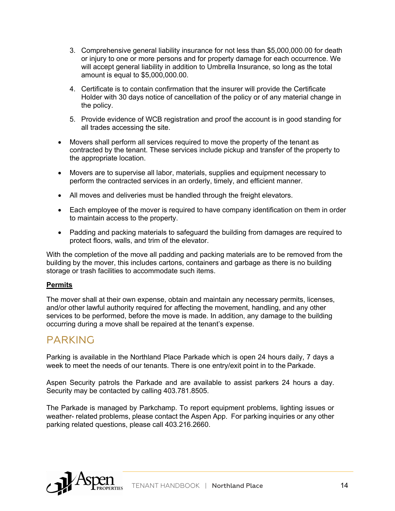- 3. Comprehensive general liability insurance for not less than \$5,000,000.00 for death or injury to one or more persons and for property damage for each occurrence. We will accept general liability in addition to Umbrella Insurance, so long as the total amount is equal to \$5,000,000.00.
- 4. Certificate is to contain confirmation that the insurer will provide the Certificate Holder with 30 days notice of cancellation of the policy or of any material change in the policy.
- 5. Provide evidence of WCB registration and proof the account is in good standing for all trades accessing the site.
- Movers shall perform all services required to move the property of the tenant as contracted by the tenant. These services include pickup and transfer of the property to the appropriate location.
- Movers are to supervise all labor, materials, supplies and equipment necessary to perform the contracted services in an orderly, timely, and efficient manner.
- All moves and deliveries must be handled through the freight elevators.
- Each employee of the mover is required to have company identification on them in order to maintain access to the property.
- Padding and packing materials to safeguard the building from damages are required to protect floors, walls, and trim of the elevator.

With the completion of the move all padding and packing materials are to be removed from the building by the mover, this includes cartons, containers and garbage as there is no building storage or trash facilities to accommodate such items.

#### **Permits**

The mover shall at their own expense, obtain and maintain any necessary permits, licenses, and/or other lawful authority required for affecting the movement, handling, and any other services to be performed, before the move is made. In addition, any damage to the building occurring during a move shall be repaired at the tenant's expense.

#### PARKING

Parking is available in the Northland Place Parkade which is open 24 hours daily, 7 days a week to meet the needs of our tenants. There is one entry/exit point in to the Parkade.

Aspen Security patrols the Parkade and are available to assist parkers 24 hours a day. Security may be contacted by calling 403.781.8505.

The Parkade is managed by Parkchamp. To report equipment problems, lighting issues or weather- related problems, please contact the Aspen App. For parking inquiries or any other parking related questions, please call 403.216.2660.

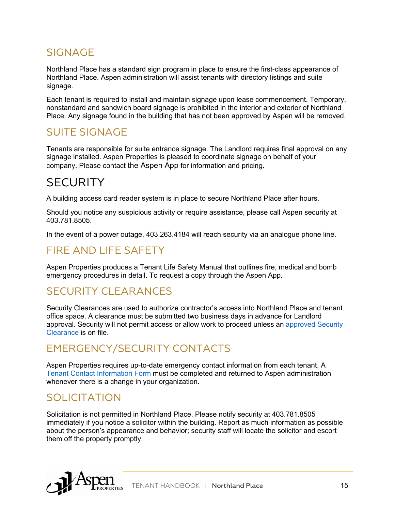#### SIGNAGE

Northland Place has a standard sign program in place to ensure the first-class appearance of Northland Place. Aspen administration will assist tenants with directory listings and suite signage.

Each tenant is required to install and maintain signage upon lease commencement. Temporary, nonstandard and sandwich board signage is prohibited in the interior and exterior of Northland Place. Any signage found in the building that has not been approved by Aspen will be removed.

#### SUITE SIGNAGE

Tenants are responsible for suite entrance signage. The Landlord requires final approval on any signage installed. Aspen Properties is pleased to coordinate signage on behalf of your company. Please contact the Aspen App for information and pricing.

# **SECURITY**

A building access card reader system is in place to secure Northland Place after hours.

Should you notice any suspicious activity or require assistance, please call Aspen security at 403.781.8505.

In the event of a power outage, 403.263.4184 will reach security via an analogue phone line.

## FIRE AND LIFE SAFETY

Aspen Properties produces a Tenant Life Safety Manual that outlines fire, medical and bomb emergency procedures in detail. To request a copy through the Aspen App.

## SECURITY CLEARANCES

Security Clearances are used to authorize contractor's access into Northland Place and tenant office space. A clearance must be submitted two business days in advance for Landlord approval. Security will not permit access or allow work to proceed unless an approved Security Clearance is on file.

## EMERGENCY/SECURITY CONTACTS

Aspen Properties requires up-to-date emergency contact information from each tenant. A Tenant Contact Information Form must be completed and returned to Aspen administration whenever there is a change in your organization.

## SOLICITATION

Solicitation is not permitted in Northland Place. Please notify security at 403.781.8505 immediately if you notice a solicitor within the building. Report as much information as possible about the person's appearance and behavior; security staff will locate the solicitor and escort them off the property promptly.

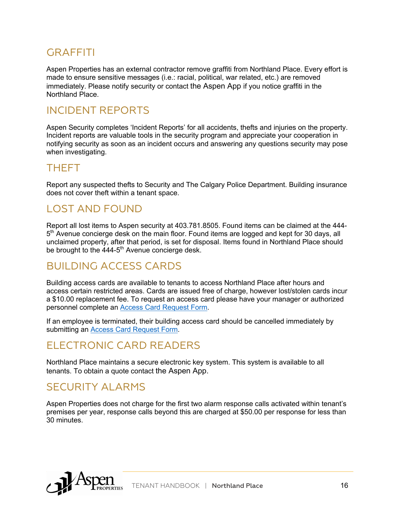#### GRAFFITI

Aspen Properties has an external contractor remove graffiti from Northland Place. Every effort is made to ensure sensitive messages (i.e.: racial, political, war related, etc.) are removed immediately. Please notify security or contact the Aspen App if you notice graffiti in the Northland Place.

#### INCIDENT REPORTS

Aspen Security completes 'Incident Reports' for all accidents, thefts and injuries on the property. Incident reports are valuable tools in the security program and appreciate your cooperation in notifying security as soon as an incident occurs and answering any questions security may pose when investigating.

#### THEFT

Report any suspected thefts to Security and The Calgary Police Department. Building insurance does not cover theft within a tenant space.

#### LOST AND FOUND

Report all lost items to Aspen security at 403.781.8505. Found items can be claimed at the 444- 5<sup>th</sup> Avenue concierge desk on the main floor. Found items are logged and kept for 30 days, all unclaimed property, after that period, is set for disposal. Items found in Northland Place should be brought to the 444-5<sup>th</sup> Avenue concierge desk.

#### BUILDING ACCESS CARDS

Building access cards are available to tenants to access Northland Place after hours and access certain restricted areas. Cards are issued free of charge, however lost/stolen cards incur a \$10.00 replacement fee. To request an access card please have your manager or authorized personnel complete an Access Card Request Form.

If an employee is terminated, their building access card should be cancelled immediately by submitting an Access Card Request Form.

# ELECTRONIC CARD READERS

Northland Place maintains a secure electronic key system. This system is available to all tenants. To obtain a quote contact the Aspen App.

#### SECURITY ALARMS

Aspen Properties does not charge for the first two alarm response calls activated within tenant's premises per year, response calls beyond this are charged at \$50.00 per response for less than 30 minutes.